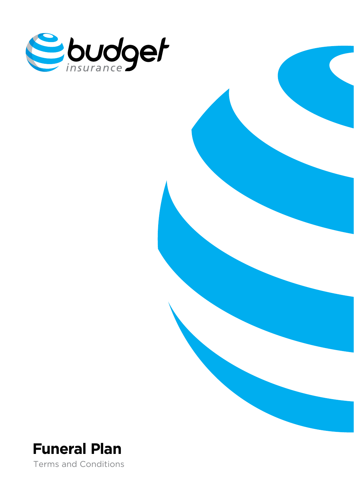



Terms and Conditions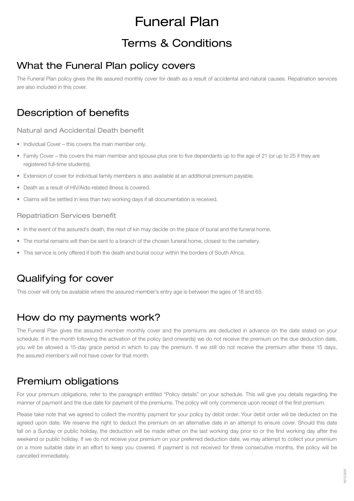# Funeral Plan

# Terms & Conditions

#### What the Funeral Plan policy covers

The Funeral Plan policy gives the life assured monthly cover for death as a result of accidental and natural causes. Repatriation services are also included in this cover.

## Description of benefits

#### Natural and Accidental Death benefit

- Individual Cover this covers the main member only.
- Family Cover this covers the main member and spouse plus one to five dependants up to the age of 21 (or up to 25 if they are registered full-time students).
- Extension of cover for individual family members is also available at an additional premium payable.
- Death as a result of HIV/Aids-related illness is covered.
- Claims will be settled in less than two working days if all documentation is received.

#### Repatriation Services benefit

- In the event of the assured's death, the next of kin may decide on the place of burial and the funeral home.
- The mortal remains will then be sent to a branch of the chosen funeral home, closest to the cemetery.
- • This service is only offered if both the death and burial occur within the borders of South Africa.

# Qualifying for cover

This cover will only be available where the assured member's entry age is between the ages of 18 and 65.

#### How do my payments work?

The Funeral Plan gives the assured member monthly cover and the premiums are deducted in advance on the date stated on your schedule. If in the month following the activation of the policy (and onwards) we do not receive the premium on the due deduction date, you will be allowed a 15-day grace period in which to pay the premium. If we still do not receive the premium after these 15 days, the assured member's will not have cover for that month.

#### Premium obligations

For your premium obligations, refer to the paragraph entitled "Policy details" on your schedule. This will give you details regarding the manner of payment and the due date for payment of the premiums. The policy will only commence upon receipt of the first premium.

Please take note that we agreed to collect the monthly payment for your policy by debit order. Your debit order will be deducted on the agreed upon date. We reserve the right to deduct the premium on an alternative date in an attempt to ensure cover. Should this date fall on a Sunday or public holiday, the deduction will be made either on the last working day prior to or the first working day after the weekend or public holiday. If we do not receive your premium on your preferred deduction date, we may attempt to collect your premium on a more suitable date in an effort to keep you covered. If payment is not received for three consecutive months, the policy will be cancelled immediately.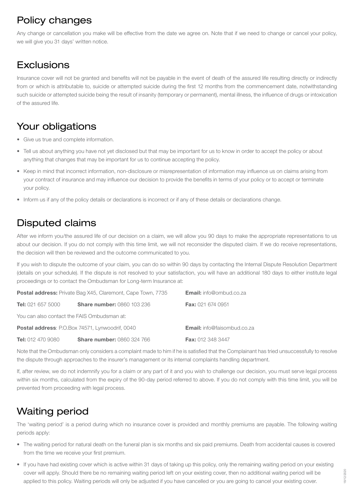# Policy changes

Any change or cancellation you make will be effective from the date we agree on. Note that if we need to change or cancel your policy, we will give you 31 days' written notice.

## **Exclusions**

Insurance cover will not be granted and benefits will not be payable in the event of death of the assured life resulting directly or indirectly from or which is attributable to, suicide or attempted suicide during the first 12 months from the commencement date, notwithstanding such suicide or attempted suicide being the result of insanity (temporary or permanent), mental illness, the influence of drugs or intoxication of the assured life.

# Your obligations

- Give us true and complete information.
- Tell us about anything you have not yet disclosed but that may be important for us to know in order to accept the policy or about anything that changes that may be important for us to continue accepting the policy.
- • Keep in mind that incorrect information, non-disclosure or misrepresentation of information may influence us on claims arising from your contract of insurance and may influence our decision to provide the benefits in terms of your policy or to accept or terminate your policy.
- Inform us if any of the policy details or declarations is incorrect or if any of these details or declarations change.

## Disputed claims

After we inform you/the assured life of our decision on a claim, we will allow you 90 days to make the appropriate representations to us about our decision. If you do not comply with this time limit, we will not reconsider the disputed claim. If we do receive representations, the decision will then be reviewed and the outcome communicated to you.

If you wish to dispute the outcome of your claim, you can do so within 90 days by contacting the Internal Dispute Resolution Department (details on your schedule). If the dispute is not resolved to your satisfaction, you will have an additional 180 days to either institute legal proceedings or to contact the Ombudsman for Long-term Insurance at:

| <b>Postal address:</b> Private Bag X45, Claremont, Cape Town, 7735 |                                   | <b>Email:</b> info@ombud.co.za     |
|--------------------------------------------------------------------|-----------------------------------|------------------------------------|
| <b>Tel:</b> 021 657 5000                                           | <b>Share number: 0860 103 236</b> | <b>Fax: 021 674 0951</b>           |
| You can also contact the FAIS Ombudsman at:                        |                                   |                                    |
| <b>Postal address: P.O.Box 74571, Lynwoodrif, 0040</b>             |                                   | <b>Email:</b> info@faisombud.co.za |
| <b>Tel:</b> 012 470 9080                                           | <b>Share number: 0860 324 766</b> | <b>Fax: 012 348 3447</b>           |

Note that the Ombudsman only considers a complaint made to him if he is satisfied that the Complainant has tried unsuccessfully to resolve the dispute through approaches to the insurer's management or its internal complaints handling department.

If, after review, we do not indemnify you for a claim or any part of it and you wish to challenge our decision, you must serve legal process within six months, calculated from the expiry of the 90-day period referred to above. If you do not comply with this time limit, you will be prevented from proceeding with legal process.

# Waiting period

The 'waiting period' is a period during which no insurance cover is provided and monthly premiums are payable. The following waiting periods apply:

- The waiting period for natural death on the funeral plan is six months and six paid premiums. Death from accidental causes is covered from the time we receive your first premium.
- If you have had existing cover which is active within 31 days of taking up this policy, only the remaining waiting period on your existing cover will apply. Should there be no remaining waiting period left on your existing cover, then no additional waiting period will be applied to this policy. Waiting periods will only be adjusted if you have cancelled or you are going to cancel your existing cover.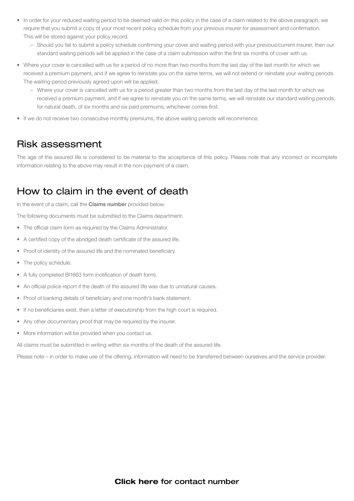- In order for your reduced waiting period to be deemed valid on this policy in the case of a claim related to the above paragraph, we require that you submit a copy of your most recent policy schedule from your previous insurer for assessment and confirmation. This will be stored against your policy record.
	- Should you fail to submit a policy schedule confirming your cover and waiting period with your previous/current insurer, then our standard waiting periods will be applied in the case of a claim submission within the first six months of cover with us.
- Where your cover is cancelled with us for a period of no more than two months from the last day of the last month for which we received a premium payment, and if we agree to reinstate you on the same terms, we will not extend or reinstate your waiting periods. The waiting period previously agreed upon will be applied.
	- Where your cover is cancelled with us for a period greater than two months from the last day of the last month for which we received a premium payment, and if we agree to reinstate you on the same terms, we will reinstate our standard waiting periods, for natural death, of six months and six paid premiums, whichever comes first.
- If we do not receive two consecutive monthly premiums, the above waiting periods will recommence.

#### Risk assessment

The age of the assured life is considered to be material to the acceptance of this policy. Please note that any incorrect or incomplete information relating to the above may result in the non-payment of a claim.

#### How to claim in the event of death

In the event of a claim, call the **Claims number** provided below.

The following documents must be submitted to the Claims department:

- The official claim form as required by the Claims Administrator.
- A certified copy of the abridged death certificate of the assured life.
- Proof of identity of the assured life and the nominated beneficiary.
- The policy schedule.
- A fully completed BI1663 form (notification of death form).
- An official police report if the death of the assured life was due to unnatural causes.
- Proof of banking details of beneficiary and one month's bank statement.
- If no beneficiaries exist, then a letter of executorship from the high court is required.
- Any other documentary proof that may be required by the insurer.
- More information will be provided when you contact us.

All claims must be submitted in writing within six months of the death of the assured life.

Please note – in order to make use of the offering, information will need to be transferred between ourselves and the service provider.